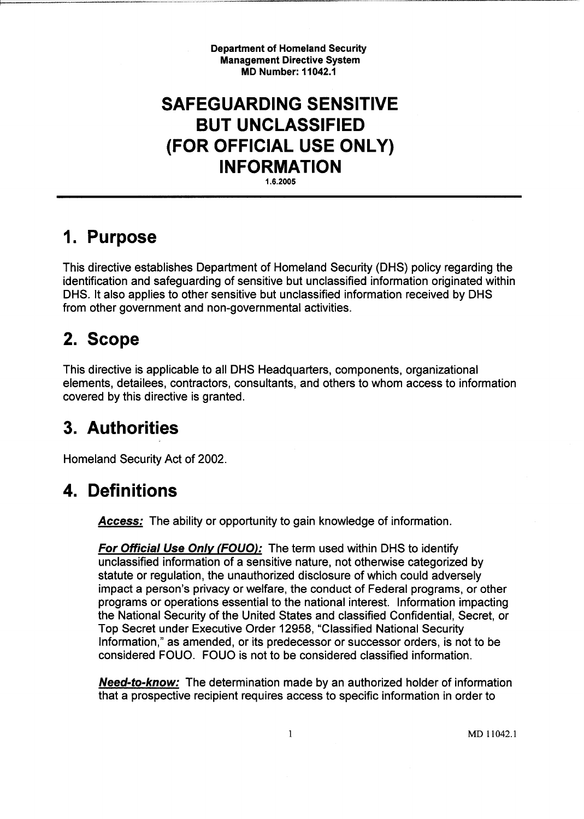Department of Homeland Security Management Directive System MD Number: 11042.1

## SAFEGUARDING SENSITIVE BUT UNCLASSIFIED (FOR OFFICIAL USE ONLY) INFORMATION

1.6.2005

### 1. Purpose

This directive establishes Department of Homeland Security (DHS) policy regarding the identification and safeguarding of sensitive but unclassified information originated within DHS. It also applies to other sensitive but unclassified information received by DHS from other government and non-governmental activities.

## 2. Scope

This directive is applicable to all DHS Headquarters, components, organizational elements, detailees, contractors, consultants, and others to whom access to information covered by this directive is granted.

## 3. Authorities

Homeland Security Act of 2002.

## 4. Definitions

**Access:** The ability or opportunity to gain knowledge of information.

For Official Use Only (FOUO): The term used within DHS to identify unclassified information of a sensitive nature, not otherwise categorized by statute or regulation, the unauthorized disclosure of which could adversely impact a person's privacy or welfare, the conduct of Federal programs, or other programs or operations essential to the national interest. Information impacting the National Security of the United States and classified Confidential, Secret, or Top Secret under Executive Order 12958, "Classified National Security Information," as amended, or its predecessor or successor orders, is not to be considered FOUO. FOUO is not to be considered classified information.

**Need-to-know:** The determination made by an authorized holder of information that a prospective recipient requires access to specific information in order to

 $\mathbf{1}$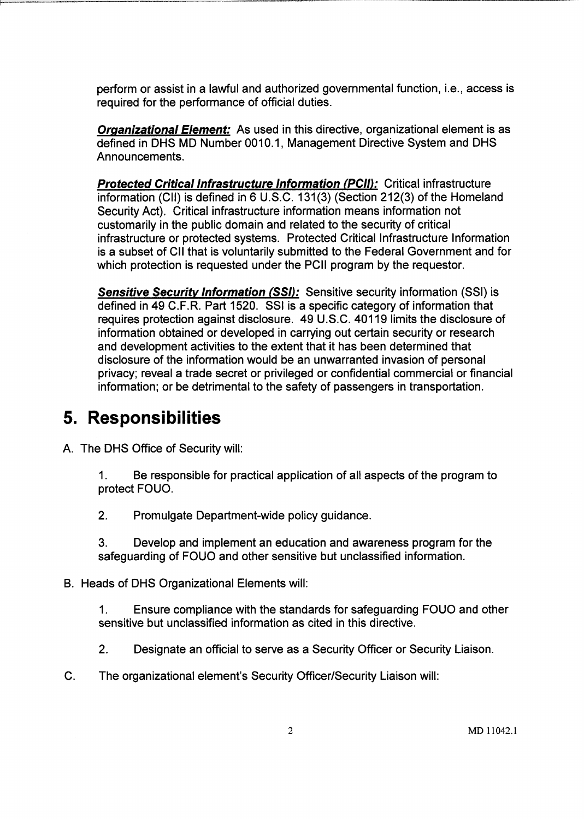perform or assist in a lawful and authorized governmental function, i.e., access is required for the performance of official duties.

----------- - --- ----------.-----------

**Organizational Element:** As used in this directive, organizational element is as defined in DHS MD Number 0010.1, Management Directive System and DHS Announcements.

**Protected Critical Infrastructure Information (PCII):** Critical infrastructure information (CII) is defined in 6 U.S.C. 131(3) (Section 212(3) of the Homeland Security Act). Critical infrastructure information means information not customarily in the public domain and related to the security of critical infrastructure or protected systems. Protected Critical Infrastructure Information is a subset of CII that is voluntarily submitted to the Federal Government and for which protection is requested under the PCII program by the requestor.

Sensitive Security Information (SSI): Sensitive security information (SSI) is defined in 49 C.F.R. Part 1520. SSI is a specific category of information that requires protection against disclosure. 49 U.S.C. 40119 limits the disclosure of information obtained or developed in carrying out certain security or research and development activities to the extent that it has been determined that disclosure of the information would be an unwarranted invasion of personal privacy; reveal a trade secret or privileged or confidential commercial or financial information; or be detrimental to the safety of passengers in transportation.

## **5. Responsibilities**

A. The DHS Office of Security will:

1. Be responsible for practical application of all aspects of the program to protect FOUO.

2. Promulgate Department-wide policy guidance.

3. Develop and implement an education and awareness program for the safeguarding of FOUO and other sensitive but unclassified information.

B. Heads of DHS Organizational Elements will:

1. Ensure compliance with the standards for safeguarding FOUO and other sensitive but unclassified information as cited in this directive.

- 2. Designate an official to serve as a Security Officer or Security Liaison.
- C. The organizational element's Security Officer/Security Liaison will: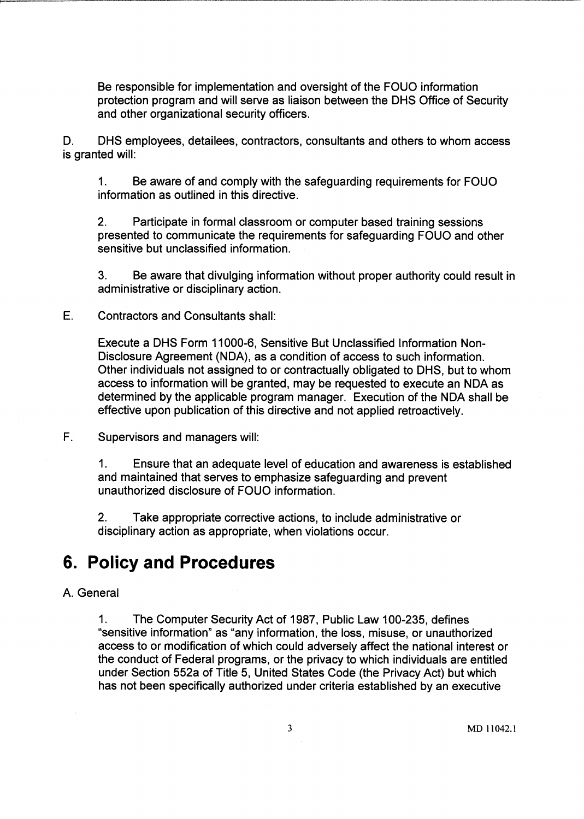Be responsible for implementation and oversight of the FOUO information protection program and will serve as liaison between the DHS Office of Security and other organizational security officers.

D. DHS employees, detailees, contractors, consultants and others to whom access is granted will:

1. Be aware of and comply with the safeguarding requirements for FOUO information as outlined in this directive.

2. Participate in formal classroom or computer based training sessions presented to communicate the requirements for safeguarding FOUO and other sensitive but unclassified information.

3. Be aware that divulging information without proper authority could result in administrative or disciplinary action.

E. Contractors and Consultants shall:

Execute a DHS Form 11000-6, Sensitive But Unclassified Information Non-Disclosure Agreement (NDA), as a condition of access to such information. Other individuals not assigned to or contractually obligated to DHS, but to whom access to information will be granted, may be requested to execute an NDA as determined by the applicable program manager. Execution of the NDA shall be effective upon publication of this directive and not applied retroactively.

F. Supervisors and managers will:

1. Ensure that an adequate level of education and awareness is established and maintained that serves to emphasize safeguarding and prevent unauthorized disclosure of FOUO information.

2. Take appropriate corrective actions, to include administrative or disciplinary action as appropriate, when violations occur.

### **6. Policy and Procedures**

#### A. General

1. The Computer Security Act of 1987, Public Law 100-235, defines "sensitive information" as "any information, the loss, misuse, or unauthorized access to or modification of which could adversely affect the national interest or the conduct of Federal programs, or the privacy to which individuals are entitled under Section 552a of Title 5, United States Code (the Privacy Act) but which has not been specifically authorized under criteria established by an executive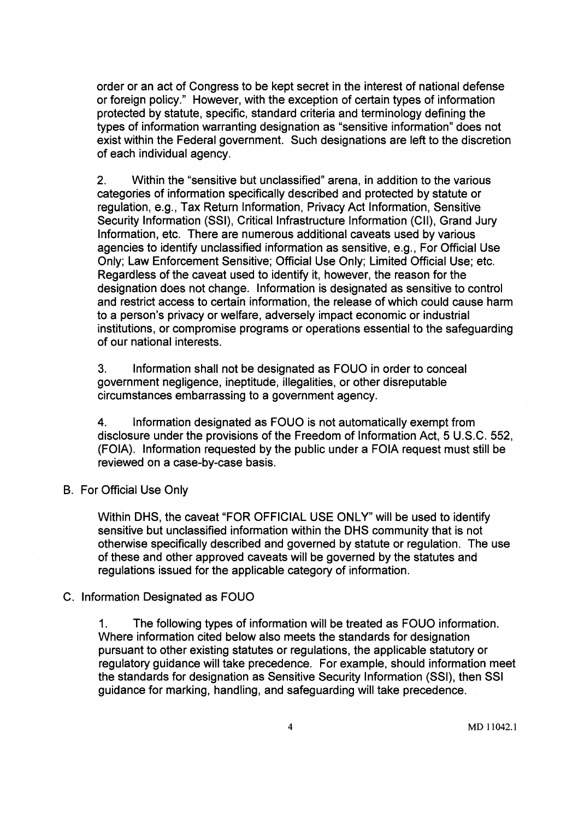order or an act of Congress to be kept secret in the interest of national defense or foreign policy." However, with the exception of certain types of information protected by statute, specific, standard criteria and terminology defining the types of information warranting designation as "sensitive information" does not exist within the Federal government. Such designations are left to the discretion of each individual agency.

2. Within the "sensitive but unclassified" arena, in addition to the various categories of information specifically described and protected by statute or regulation, e.g., Tax Return Information, Privacy Act Information, Sensitive Security Information (SSI), Critical Infrastructure Information (CII), Grand Jury Information, etc. There are numerous additional caveats used by various agencies to identify unclassified information as sensitive, e.g., For Official Use Only; Law Enforcement Sensitive; Official Use Only; Limited Official Use; etc. Regardless of the caveat used to identify it, however, the reason for the designation does not change. Information is designated as sensitive to control and restrict access to certain information, the release of which could cause harm to a person's privacy or welfare, adversely impact economic or industrial institutions, or compromise programs or operations essential to the safeguarding of our national interests.

3. Information shall not be designated as FOUO in order to conceal government negligence, ineptitude, illegalities, or other disreputable circumstances embarrassing to a government agency.

4. Information designated as FOUO is not automatically exempt from disclosure under the provisions of the Freedom of Information Act, 5 U.S.C. 552, (FOIA). Information requested by the public under a FOIA request must still be reviewed on a case-by-case basis.

B. For Official Use Only

Within DHS, the caveat "FOR OFFICIAL USE ONLY" will be used to identify sensitive but unclassified information within the DHS community that is not otherwise specifically described and governed by statute or regulation. The use of these and other approved caveats will be governed by the statutes and regulations issued for the applicable category of information.

#### C. Information Designated as FOUO

1. The following types of information will be treated as FOUO information. Where information cited below also meets the standards for designation pursuant to other existing statutes or regulations, the applicable statutory or regulatory guidance will take precedence. For example, should information meet the standards for designation as Sensitive Security Information (SSI), then SSI guidance for marking, handling, and safeguarding will take precedence.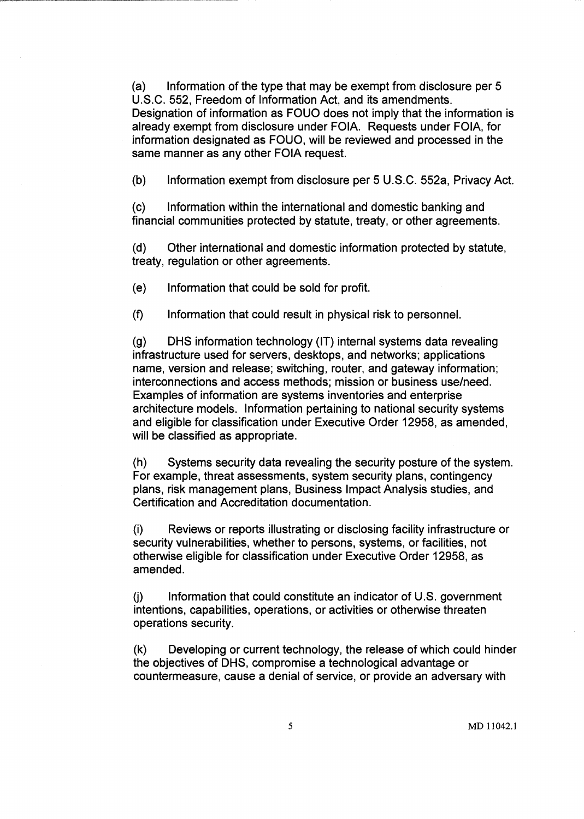(a) Information of the type that may be exempt from disclosure per 5 U.S.C. 552, Freedom of Information Act, and its amendments. Designation of information as FOUO does not imply that the information is already exempt from disclosure under FOIA. Requests under FOIA, for information designated as FOUO, will be reviewed and processed in the same manner as any other FOIA request.

(b) Information exempt from disclosure per 5 U.S.C. 552a, Privacy Act.

(c) Information within the international and domestic banking and financial communities protected by statute, treaty, or other agreements.

(d) Other international and domestic information protected by statute, treaty, regulation or other agreements.

(e) Information that could be sold for profit.

(f) Information that could result in physical risk to personnel.

(g) DHS information technology (IT) internal systems data revealing infrastructure used for servers, desktops, and networks; applications name, version and release; switching, router, and gateway information; interconnections and access methods; mission or business use/need. Examples of information are systems inventories and enterprise architecture models. Information pertaining to national security systems and eligible for classification under Executive Order 12958, as amended, will be classified as appropriate.

(h) Systems security data revealing the security posture of the system. For example, threat assessments, system security plans, contingency plans, risk management plans, Business Impact Analysis studies, and Certification and Accreditation documentation.

(i) Reviews or reports illustrating or disclosing facility infrastructure or security vulnerabilities, whether to persons, systems, or facilities, not otherwise eligible for classification under Executive Order 12958, as amended.

(j) Information that could constitute an indicator of U.S. government intentions, capabilities, operations, or activities or otherwise threaten operations security.

(k) Developing or current technology, the release of which could hinder the objectives of DHS, compromise a technological advantage or countermeasure, cause a denial of service, or provide an adversary with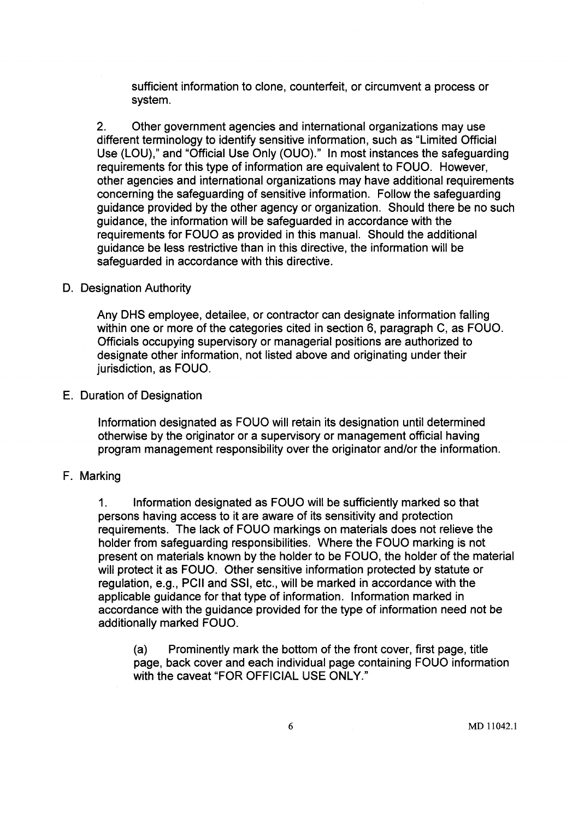sufficient information to clone, counterfeit, or circumvent a process or system.

2. Other government agencies and international organizations may use different terminology to identify sensitive information, such as "Limited Official Use (LOU)," and "Official Use Only (OUO)." In most instances the safeguarding requirements for this type of information are equivalent to FOUO. However, other agencies and international organizations may have additional requirements concerning the safeguarding of sensitive information. Follow the safeguarding guidance provided by the other agency or organization. Should there be no such guidance, the information will be safeguarded in accordance with the requirements for FOUO as provided in this manual. Should the additional guidance be less restrictive than in this directive, the information will be safeguarded in accordance with this directive.

#### D. Designation Authority

Any DHS employee, detailee, or contractor can designate information falling within one or more of the categories cited in section 6, paragraph C, as FOUO. Officials occupying supervisory or managerial positions are authorized to designate other information, not listed above and originating under their jurisdiction, as FOUO.

#### E. Duration of Designation

Information designated as FOUO will retain its designation until determined otherwise by the originator or a supervisory or management official having program management responsibility over the originator and/or the information.

#### F. Marking

1. Information designated as FOUO will be sufficiently marked so that persons having access to it are aware of its sensitivity and protection requirements. The lack of FOUO markings on materials does not relieve the holder from safeguarding responsibilities. Where the FOUO marking is not present on materials known by the holder to be FOUO, the holder of the material will protect it as FOUO. Other sensitive information protected by statute or regulation, e.g., PCII and SSI, etc., will be marked in accordance with the applicable guidance for that type of information. Information marked in accordance with the guidance provided for the type of information need not be additionally marked FOUO.

(a) Prominently mark the bottom of the front cover, first page, title page, back cover and each individual page containing FOUO information with the caveat "FOR OFFICIAL USE ONLY."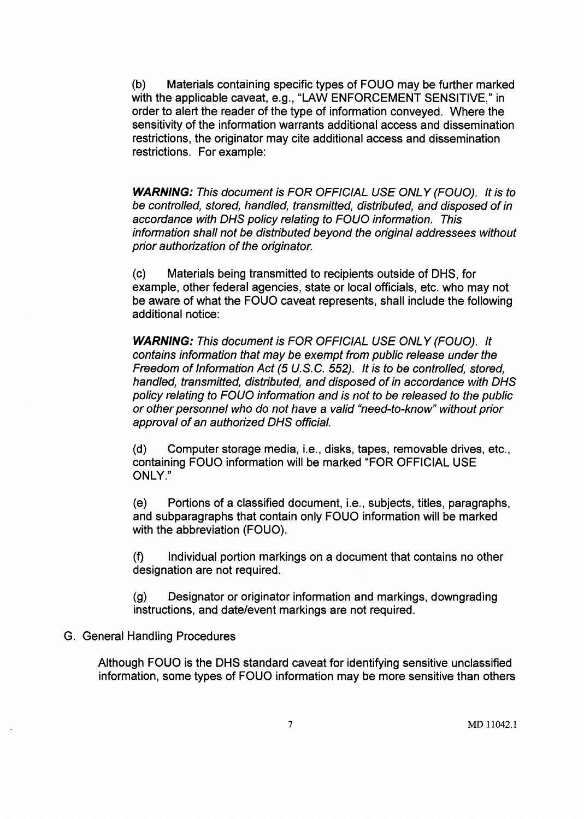(b) Materials containing specific types of FOUO may be further marked with the applicable caveat, e.g., "LAW ENFORCEMENT SENSITIVE," in order to alert the reader of the type of information conveyed. Where the sensitivity of the information warrants additional access and dissemination restrictions, the originator may cite additional access and dissemination restrictions. For example:

**WARNING:** This document is FOR OFFICIAL USE ONL Y (FOUO). It is to be controlled, stored, handled, transmitted, distributed, and disposed of in accordance with DHS policy relating to FOUO information. This information shall not be distributed beyond the original addressees without prior authorization of the originator.

(c) Materials being transmitted to recipients outside of DHS, for example, other federal agencies, state or local officials, etc. who may not be aware of what the FOUO caveat represents, shall include the following additional notice:

**WARNING:** This document is FOR OFFICIAL USE ONL Y (FOUO). It contains information that may be exempt from public release under the Freedom of Information Act (5 U.S.G. 552). It is to be controlled, stored, handled, transmitted, distributed, and disposed of in accordance with DHS policy relating to FOUO information and is not to be released to the public or other personnel who do not have a valid "need-to-know" without prior approval of an authorized DHS official.

(d) Computer storage media, i.e., disks, tapes, removable drives, etc., containing FOUO information will be marked "FOR OFFICIAL USE ONLY."

(e) Portions of a classified document, i.e., subjects, titles, paragraphs, and subparagraphs that contain only FOUO information will be marked with the abbreviation (FOUO).

(f) Individual portion markings on a document that contains no other designation are not required.

(g) Designator or originator information and markings, downgrading instructions, and date/event markings are not required.

#### G. General Handling Procedures

Although FOUO is the DHS standard caveat for identifying sensitive unclassified information, some types of FOUO information may be more sensitive than others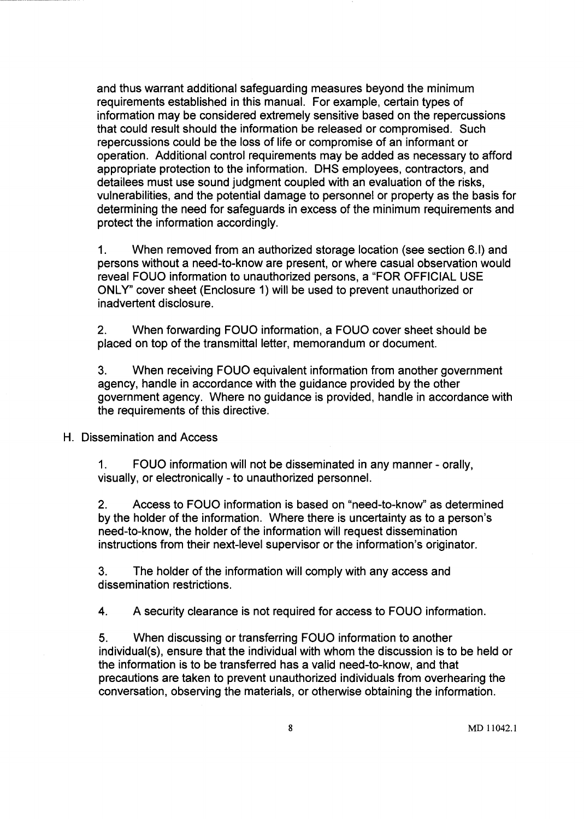and thus warrant additional safeguarding measures beyond the minimum requirements established in this manual. For example, certain types of information may be considered extremely sensitive based on the repercussions that could result should the information be released or compromised. Such repercussions could be the loss of life or compromise of an informant or operation. Additional control requirements may be added as necessary to afford appropriate protection to the information. DHS employees, contractors, and detailees must use sound judgment coupled with an evaluation of the risks, vulnerabilities, and the potential damage to personnel or property as the basis for determining the need for safeguards in excess of the minimum requirements and protect the information accordingly.

1. When removed from an authorized storage location (see section 6.1) and persons without a need-to-know are present, or where casual observation would reveal FOUO information to unauthorized persons, a "FOR OFFICIAL USE ONLY" cover sheet (Enclosure 1) will be used to prevent unauthorized or inadvertent disclosure.

2. When forwarding FOUO information, a FOUO cover sheet should be placed on top of the transmittal letter, memorandum or document.

3. When receiving FOUO equivalent information from another government agency, handle in accordance with the guidance provided by the other government agency. Where no guidance is provided, handle in accordance with the requirements of this directive.

H. Dissemination and Access

1. FOUO information will not be disseminated in any manner - orally, visually, or electronically - to unauthorized personnel.

2. Access to FOUO information is based on "need-to-know" as determined by the holder of the information. Where there is uncertainty as to a person's need-to-know, the holder of the information will request dissemination instructions from their next-level supervisor or the information's originator.

3. The holder of the information will comply with any access and dissemination restrictions.

4. A security clearance is not required for access to FOUO information.

5. When discussing or transferring FOUO information to another individual(s), ensure that the individual with whom the discussion is to be held or the information is to be transferred has a valid need-to-know, and that precautions are taken to prevent unauthorized individuals from overhearing the conversation, observing the materials, or otherwise obtaining the information.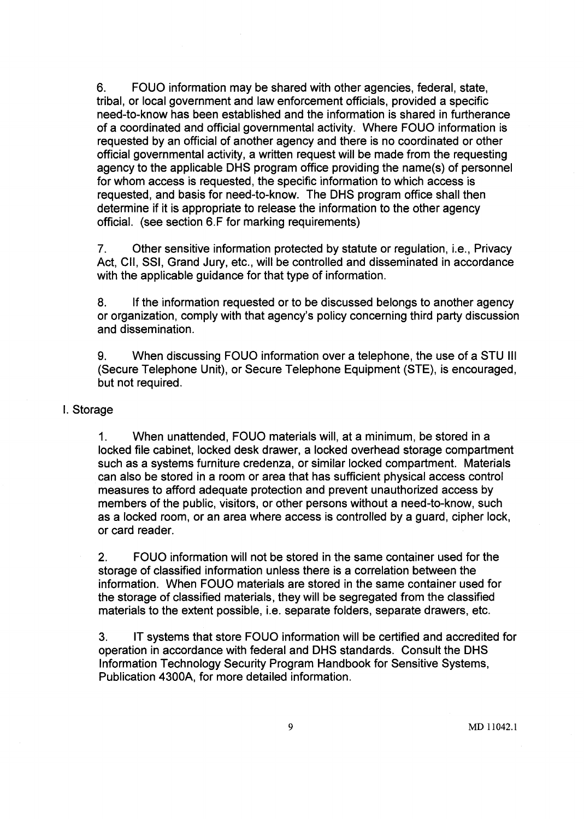6. FOUO information may be shared with other agencies, federal, state, tribal, or local government and law enforcement officials, provided a specific need-to-know has been established and the information is shared in furtherance of a coordinated and official governmental activity. Where FOUO information is requested by an official of another agency and there is no coordinated or other official governmental activity, a written request will be made from the requesting agency to the applicable DHS program office providing the name(s) of personnel for whom access is requested, the specific information to which access is requested, and basis for need-to-know. The DHS program office shall then determine if it is appropriate to release the information to the other agency official. (see section 6.F for marking requirements)

7. Other sensitive information protected by statute or regulation, i.e., Privacy Act, CII, SSI, Grand Jury, etc., will be controlled and disseminated in accordance with the applicable guidance for that type of information.

8. If the information requested or to be discussed belongs to another agency or organization, comply with that agency's policy concerning third party discussion and dissemination.

9. When discussing FOUO information over a telephone, the use of a STU III (Secure Telephone Unit), or Secure Telephone Equipment (STE), is encouraged, but not required.

#### I. Storage

1. When unattended, FOUO materials will, at a minimum, be stored in a locked file cabinet, locked desk drawer, a locked overhead storage compartment such as a systems furniture credenza, or similar locked compartment. Materials can also be stored in a room or area that has sufficient physical access control measures to afford adequate protection and prevent unauthorized access by members of the public, visitors, or other persons without a need-to-know, such as a locked room, or an area where access is controlled by a guard, cipher lock, or card reader.

2. FOUO information will not be stored in the same container used for the storage of classified information unless there is a correlation between the information. When FOUO materials are stored in the same container used for the storage of classified materials, they will be segregated from the classified materials to the extent possible, i.e. separate folders, separate drawers, etc.

3. IT systems that store FOUO information will be certified and accredited for operation in accordance with federal and DHS standards. Consult the DHS Information Technology Security Program Handbook for Sensitive Systems, Publication 4300A, for more detailed information.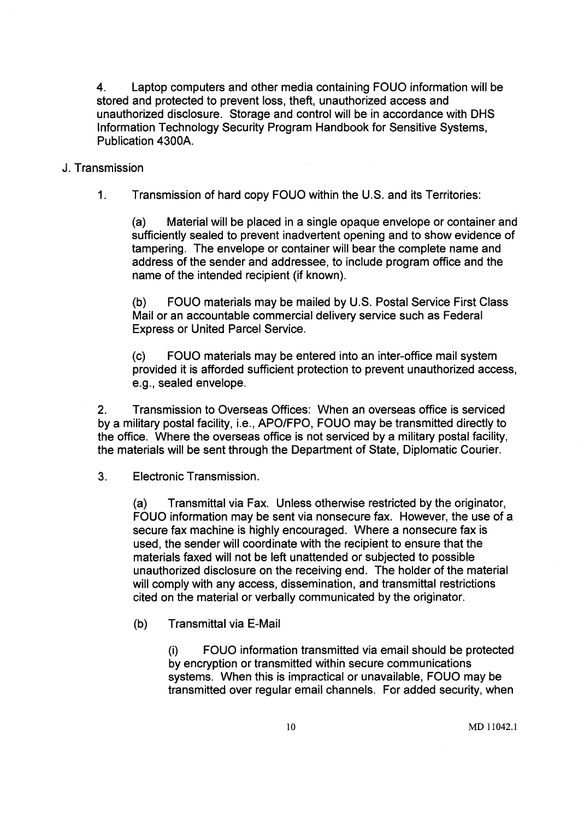4. Laptop computers and other media containing FOUO information will be stored and protected to prevent loss, theft, unauthorized access and unauthorized disclosure. Storage and control will be in accordance with DHS Information Technology Security Program Handbook for Sensitive Systems, Publication 4300A.

#### J. Transmission

1. Transmission of hard copy FOUO within the U.S. and its Territories:

(a) Material will be placed in a single opaque envelope or container and sufficiently sealed to prevent inadvertent opening and to show evidence of tampering. The envelope or container will bear the complete name and address of the sender and addressee, to include program office and the name of the intended recipient (if known).

(b) FOUO materials may be mailed by U.S. Postal Service First Class Mail or an accountable commercial delivery service such as Federal Express or United Parcel Service.

(c) FOUO materials may be entered into an inter-office mail system provided it is afforded sufficient protection to prevent unauthorized access, e.g., sealed envelope.

2. Transmission to Overseas Offices: When an overseas office is serviced by a military postal facility, i.e., APO/FPO, FOUO may be transmitted directly to the office. Where the overseas office is not serviced by a military postal facility, the materials will be sent through the Department of State, Diplomatic Courier.

3. Electronic Transmission.

(a) Transmittal via Fax. Unless otherwise restricted by the originator, FOUO information may be sent via nonsecure fax. However, the use of a secure fax machine is highly encouraged. Where a nonsecure fax is used, the sender will coordinate with the recipient to ensure that the materials faxed will not be left unattended or subjected to possible unauthorized disclosure on the receiving end. The holder of the material will comply with any access, dissemination, and transmittal restrictions cited on the material or verbally communicated by the originator.

(b) Transmittal via E-Mail

(i) FOUO information transmitted via email should be protected by encryption or transmitted within secure communications systems. When this is impractical or unavailable, FOUO may be transmitted over regular email channels. For added security, when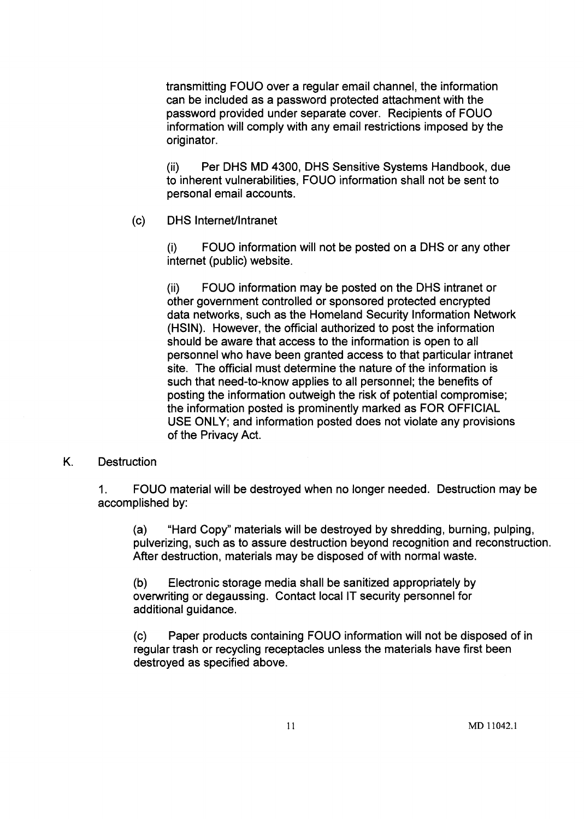transmitting FOUO over a regular email channel, the information can be included as a password protected attachment with the password provided under separate cover. Recipients of FOUO information will comply with any email restrictions imposed by the originator.

(ii) Per DHS MD 4300, DHS Sensitive Systems Handbook, due to inherent vulnerabilities, FOUO information shall not be sent to personal email accounts.

(c) DHS Internet/Intranet

(i) FOUO information will not be posted on a DHS or any other internet (public) website.

(ii) FOUO information may be posted on the DHS intranet or other government controlled or sponsored protected encrypted data networks, such as the Homeland Security Information Network (HSIN). However, the official authorized to post the information should be aware that access to the information is open to all personnel who have been granted access to that particular intranet site. The official must determine the nature of the information is such that need-to-know applies to all personnel; the benefits of posting the information outweigh the risk of potential compromise; the information posted is prominently marked as FOR OFFICIAL USE ONLY; and information posted does not violate any provisions of the Privacy Act.

#### K. Destruction

1. FOUO material will be destroyed when no longer needed. Destruction may be accomplished by:

(a) "Hard Copy" materials will be destroyed by shredding, burning, pulping, pulverizing, such as to assure destruction beyond recognition and reconstruction. After destruction, materials may be disposed of with normal waste.

(b) Electronic storage media shall be sanitized appropriately by overwriting or degaussing. Contact local IT security personnel for additional guidance.

(c) Paper products containing FOUO information will not be disposed of in regular trash or recycling receptacles unless the materials have first been destroyed as specified above.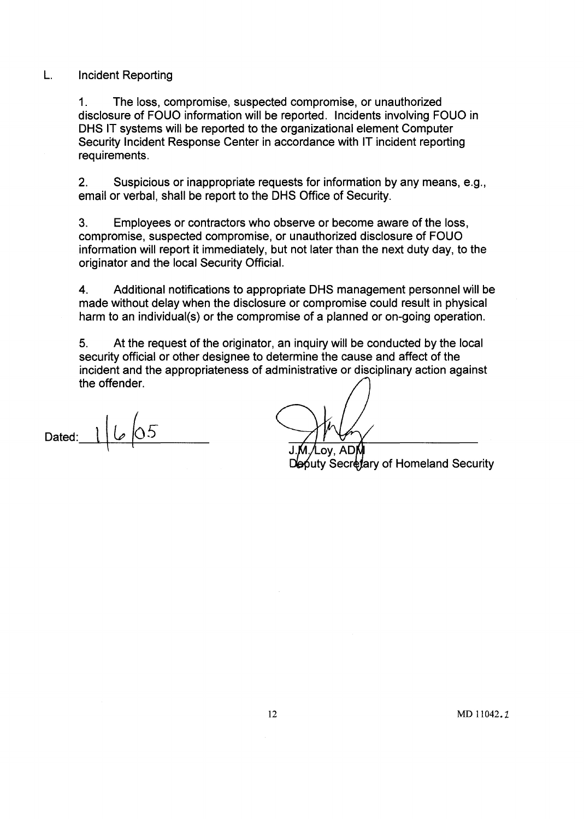#### L. Incident Reporting

1. The loss, compromise, suspected compromise, or unauthorized disclosure of FOUO information will be reported. Incidents involving FOUO in DHS IT systems will be reported to the organizational element Computer Security Incident Response Center in accordance with IT incident reporting requirements.

2. Suspicious or inappropriate requests for information by any means, e.g., email or verbal, shall be report to the DHS Office of Security.

3. Employees or contractors who observe or become aware of the loss, compromise, suspected compromise, or unauthorized disclosure of FOUO information will report it immediately, but not later than the next duty day, to the originator and the local Security Official.

4. Additional notifications to appropriate DHS management personnel will be made without delay when the disclosure or compromise could result in physical harm to an individual(s) or the compromise of a planned or on-going operation.

5. At the request of the originator, an inquiry will be conducted by the local security official or other designee to determine the cause and affect of the incident and the appropriateness of administrative or disciplinary action against the offender.

Dated:  $1/\sqrt{0.5}$ 

ov. AD

outy Secretary of Homeland Security